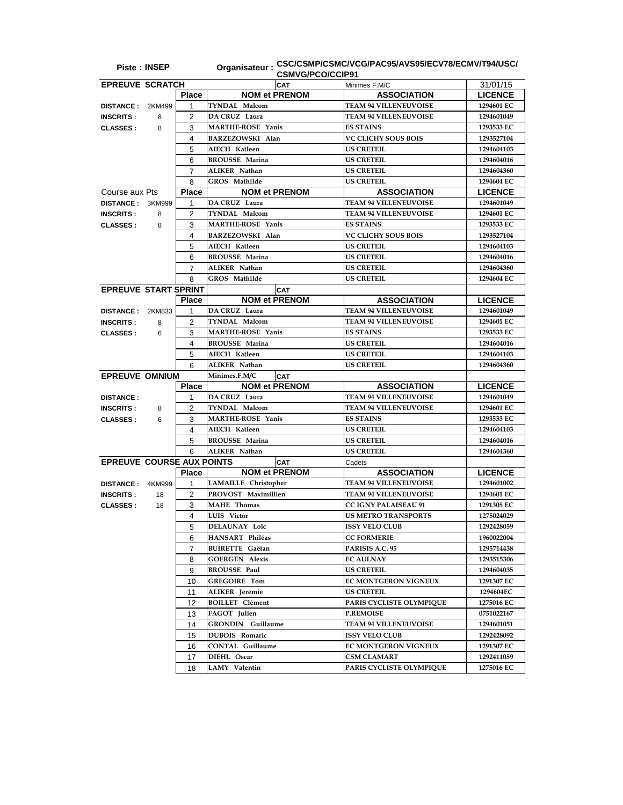| <b>Piste: INSEP</b>              |        |                         | <b>CSMVG/PCO/CCIP91</b>     | Organisateur: CSC/CSMP/CSMC/VCG/PAC95/AVS95/ECV78/ECMV/T94/USC/ |                |
|----------------------------------|--------|-------------------------|-----------------------------|-----------------------------------------------------------------|----------------|
| <b>EPREUVE SCRATCH</b>           |        |                         | <b>CAT</b>                  | Minimes F.M/C                                                   | 31/01/15       |
|                                  |        | <b>Place</b>            | <b>NOM et PRENOM</b>        | <b>ASSOCIATION</b>                                              | <b>LICENCE</b> |
| <b>DISTANCE :</b>                | 2KM499 | 1                       | TYNDAL Malcom               | <b>TEAM 94 VILLENEUVOISE</b>                                    | 1294601 EC     |
| <b>INSCRITS:</b>                 | 8      | 2                       | DA CRUZ Laura               | <b>TEAM 94 VILLENEUVOISE</b>                                    | 1294601049     |
| <b>CLASSES:</b>                  | 8      | 3                       | <b>MARTHE-ROSE Yanis</b>    | <b>ES STAINS</b>                                                | 1293533 EC     |
|                                  |        | 4                       | <b>BARZEZOWSKI Alan</b>     | <b>VC CLICHY SOUS BOIS</b>                                      | 1293527104     |
|                                  |        | 5                       | AIECH Katleen               | <b>US CRETEIL</b>                                               | 1294604103     |
|                                  |        | 6                       | <b>BROUSSE Marina</b>       | <b>US CRETEIL</b>                                               | 1294604016     |
|                                  |        | 7                       | ALIKER Nathan               | <b>US CRETEIL</b>                                               | 1294604360     |
|                                  |        | 8                       | GROS Mathilde               | <b>US CRETEIL</b>                                               | 1294604 EC     |
| Course aux Pts                   |        | <b>Place</b>            | <b>NOM et PRENOM</b>        | <b>ASSOCIATION</b>                                              | <b>LICENCE</b> |
|                                  |        | 1                       | DA CRUZ Laura               | <b>TEAM 94 VILLENEUVOISE</b>                                    | 1294601049     |
| <b>DISTANCE: 3KM999</b>          |        |                         | TYNDAL Malcom               | <b>TEAM 94 VILLENEUVOISE</b>                                    | 1294601 EC     |
| <b>INSCRITS:</b>                 | 8      | $\overline{2}$          | <b>MARTHE-ROSE Yanis</b>    |                                                                 |                |
| <b>CLASSES:</b>                  | 8      | 3                       |                             | <b>ES STAINS</b>                                                | 1293533 EC     |
|                                  |        | $\overline{\mathbf{4}}$ | BARZEZOWSKI Alan            | <b>VC CLICHY SOUS BOIS</b>                                      | 1293527104     |
|                                  |        | 5                       | AIECH Katleen               | <b>US CRETEIL</b>                                               | 1294604103     |
|                                  |        | 6                       | <b>BROUSSE Marina</b>       | <b>US CRETEIL</b>                                               | 1294604016     |
|                                  |        | 7                       | ALIKER Nathan               | <b>US CRETEIL</b>                                               | 1294604360     |
|                                  |        | 8                       | GROS Mathilde               | <b>US CRETEIL</b>                                               | 1294604 EC     |
| <b>EPREUVE START SPRINT</b>      |        |                         | <b>CAT</b>                  |                                                                 |                |
|                                  |        | <b>Place</b>            | <b>NOM et PRENOM</b>        | <b>ASSOCIATION</b>                                              | <b>LICENCE</b> |
| DISTANCE: 2KM833                 |        | 1                       | DA CRUZ Laura               | <b>TEAM 94 VILLENEUVOISE</b>                                    | 1294601049     |
| <b>INSCRITS:</b>                 | 8      | 2                       | <b>TYNDAL Malcom</b>        | <b>TEAM 94 VILLENEUVOISE</b>                                    | 1294601 EC     |
| <b>CLASSES:</b>                  | 6      | 3                       | <b>MARTHE-ROSE Yanis</b>    | <b>ES STAINS</b>                                                | 1293533 EC     |
|                                  |        | 4                       | <b>BROUSSE Marina</b>       | <b>US CRETEIL</b>                                               | 1294604016     |
|                                  |        | 5                       | AIECH Katleen               | <b>US CRETEIL</b>                                               | 1294604103     |
|                                  |        | 6                       | ALIKER Nathan               | <b>US CRETEIL</b>                                               | 1294604360     |
| <b>EPREUVE OMNIUM</b>            |        |                         | Minimes.F.M/C<br><b>CAT</b> |                                                                 |                |
|                                  |        | <b>Place</b>            | <b>NOM et PRENOM</b>        | <b>ASSOCIATION</b>                                              | <b>LICENCE</b> |
| <b>DISTANCE:</b>                 |        | 1                       | DA CRUZ Laura               | <b>TEAM 94 VILLENEUVOISE</b>                                    | 1294601049     |
| <b>INSCRITS:</b>                 | 8      | 2                       | <b>TYNDAL Malcom</b>        | <b>TEAM 94 VILLENEUVOISE</b>                                    | 1294601 EC     |
| <b>CLASSES:</b>                  | 6      | 3                       | <b>MARTHE-ROSE Yanis</b>    | <b>ES STAINS</b>                                                | 1293533 EC     |
|                                  |        | 4                       | AIECH Katleen               | <b>US CRETEIL</b>                                               | 1294604103     |
|                                  |        | 5                       | <b>BROUSSE Marina</b>       | <b>US CRETEIL</b>                                               | 1294604016     |
|                                  |        | 6                       | ALIKER Nathan               | <b>US CRETEIL</b>                                               | 1294604360     |
| <b>EPREUVE COURSE AUX POINTS</b> |        |                         | <b>CAT</b>                  | Cadets                                                          |                |
|                                  |        | <b>Place</b>            | <b>NOM et PRENOM</b>        | <b>ASSOCIATION</b>                                              | <b>LICENCE</b> |
| <b>DISTANCE:</b>                 | 4KM999 | 1                       | LAMAILLE Christopher        | <b>TEAM 94 VILLENEUVOISE</b>                                    | 1294601002     |
| <b>INSCRITS:</b>                 | 18     | 2                       | PROVOST Maximillien         | <b>TEAM 94 VILLENEUVOISE</b>                                    | 1294601 EC     |
| <b>CLASSES:</b>                  | 18     | 3                       | <b>MAHE</b> Thomas          | <b>CC IGNY PALAISEAU 91</b>                                     | 1291305 EC     |
|                                  |        | 4                       | LUIS Victor                 | <b>US METRO TRANSPORTS</b>                                      | 1275024029     |
|                                  |        | 5                       | DELAUNAY Loïc               | <b>ISSY VELO CLUB</b>                                           | 1292428059     |
|                                  |        | 6                       | HANSART Philéas             | <b>CC FORMERIE</b>                                              | 1960022004     |
|                                  |        | 7                       | <b>BUIRETTE Gaëtan</b>      | PARISIS A.C. 95                                                 | 1295714438     |
|                                  |        | 8                       | <b>GOERGEN Alexis</b>       | <b>EC AULNAY</b>                                                | 1293515306     |
|                                  |        |                         | <b>BROUSSE Paul</b>         | <b>US CRETEIL</b>                                               |                |
|                                  |        | 9                       |                             |                                                                 | 1294604035     |
|                                  |        | 10                      | <b>GREGOIRE Tom</b>         | <b>EC MONTGERON VIGNEUX</b>                                     | 1291307 EC     |
|                                  |        | 11                      | ALIKER Jérémie              | <b>US CRETEIL</b>                                               | 1294604EC      |
|                                  |        | 12                      | <b>BOILLET</b> Clément      | PARIS CYCLISTE OLYMPIQUE                                        | 1275016 EC     |
|                                  |        | 13                      | FAGOT Julien                | <b>P.REMOISE</b>                                                | 0751022167     |
|                                  |        | 14                      | <b>GRONDIN</b> Guillaume    | <b>TEAM 94 VILLENEUVOISE</b>                                    | 1294601051     |
|                                  |        | 15                      | <b>DUBOIS Romaric</b>       | <b>ISSY VELO CLUB</b>                                           | 1292428092     |
|                                  |        | 16                      | <b>CONTAL Guillaume</b>     | <b>EC MONTGERON VIGNEUX</b>                                     | 1291307 EC     |
|                                  |        | 17                      | DIEHL Oscar                 | CSM CLAMART                                                     | 1292411059     |
|                                  |        | 18                      | LAMY Valentin               | PARIS CYCLISTE OLYMPIQUE                                        | 1275016 EC     |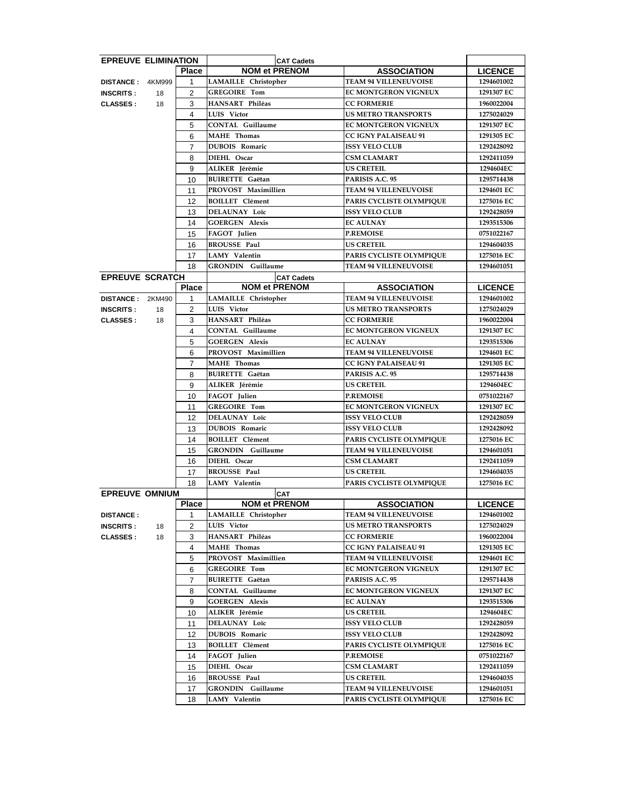| <b>EPREUVE ELIMINATION</b> |    |                |                             | <b>CAT Cadets</b>                  |                              |                          |
|----------------------------|----|----------------|-----------------------------|------------------------------------|------------------------------|--------------------------|
|                            |    | <b>Place</b>   |                             | <b>NOM et PRENOM</b>               | <b>ASSOCIATION</b>           | <b>LICENCE</b>           |
| DISTANCE: 4KM999           |    | 1              | <b>LAMAILLE</b> Christopher |                                    | <b>TEAM 94 VILLENEUVOISE</b> | 1294601002               |
| <b>INSCRITS:</b>           | 18 | $\overline{2}$ | <b>GREGOIRE Tom</b>         |                                    | <b>EC MONTGERON VIGNEUX</b>  | 1291307 EC               |
| <b>CLASSES:</b>            | 18 | 3              | HANSART Philéas             |                                    | <b>CC FORMERIE</b>           | 1960022004               |
|                            |    | 4              | LUIS Victor                 |                                    | <b>US METRO TRANSPORTS</b>   | 1275024029               |
|                            |    | 5              | <b>CONTAL Guillaume</b>     |                                    | EC MONTGERON VIGNEUX         | 1291307 EC               |
|                            |    | 6              | <b>MAHE</b> Thomas          |                                    | <b>CC IGNY PALAISEAU 91</b>  | 1291305 EC               |
|                            |    | 7              | DUBOIS Romaric              |                                    | <b>ISSY VELO CLUB</b>        | 1292428092               |
|                            |    | 8              | DIEHL Oscar                 |                                    | <b>CSM CLAMART</b>           | 1292411059               |
|                            |    | 9              | ALIKER Jérémie              |                                    | <b>US CRETEIL</b>            | 1294604EC                |
|                            |    | 10             | <b>BUIRETTE Gaëtan</b>      |                                    | PARISIS A.C. 95              | 1295714438               |
|                            |    | 11             | PROVOST Maximillien         |                                    | <b>TEAM 94 VILLENEUVOISE</b> | 1294601 EC               |
|                            |    | 12             | <b>BOILLET</b> Clément      |                                    | PARIS CYCLISTE OLYMPIQUE     | 1275016 EC               |
|                            |    | 13             | <b>DELAUNAY Loïc</b>        |                                    | <b>ISSY VELO CLUB</b>        | 1292428059               |
|                            |    | 14             | <b>GOERGEN Alexis</b>       |                                    | <b>EC AULNAY</b>             | 1293515306               |
|                            |    | 15             | FAGOT Julien                |                                    | <b>P.REMOISE</b>             | 0751022167               |
|                            |    | 16             | <b>BROUSSE Paul</b>         |                                    | <b>US CRETEIL</b>            | 1294604035               |
|                            |    | 17             | LAMY Valentin               |                                    | PARIS CYCLISTE OLYMPIQUE     | 1275016 EC               |
|                            |    | 18             | <b>GRONDIN</b> Guillaume    |                                    | <b>TEAM 94 VILLENEUVOISE</b> | 1294601051               |
| <b>EPREUVE SCRATCH</b>     |    |                |                             | <b>CAT Cadets</b>                  |                              |                          |
|                            |    | <b>Place</b>   |                             | <b>NOM et PRENOM</b>               | <b>ASSOCIATION</b>           | <b>LICENCE</b>           |
| DISTANCE: 2KM490           |    | $\mathbf{1}$   | LAMAILLE Christopher        |                                    | <b>TEAM 94 VILLENEUVOISE</b> | 1294601002               |
| <b>INSCRITS:</b>           | 18 | $\overline{2}$ | LUIS Victor                 |                                    | <b>US METRO TRANSPORTS</b>   | 1275024029               |
| <b>CLASSES:</b>            | 18 | 3              | HANSART Philéas             |                                    | <b>CC FORMERIE</b>           | 1960022004               |
|                            |    | $\overline{4}$ | <b>CONTAL Guillaume</b>     |                                    | EC MONTGERON VIGNEUX         | 1291307 EC               |
|                            |    | 5              | <b>GOERGEN Alexis</b>       |                                    | <b>EC AULNAY</b>             | 1293515306               |
|                            |    | 6              | PROVOST Maximillien         |                                    | <b>TEAM 94 VILLENEUVOISE</b> | 1294601 EC               |
|                            |    | $\overline{7}$ | <b>MAHE</b> Thomas          |                                    | <b>CC IGNY PALAISEAU 91</b>  | 1291305 EC               |
|                            |    | 8              | <b>BUIRETTE Gaëtan</b>      |                                    | PARISIS A.C. 95              | 1295714438               |
|                            |    | 9              | ALIKER Jérémie              |                                    | <b>US CRETEIL</b>            | 1294604EC                |
|                            |    | 10             | FAGOT Julien                |                                    | <b>P.REMOISE</b>             | 0751022167               |
|                            |    | 11             | <b>GREGOIRE Tom</b>         |                                    | EC MONTGERON VIGNEUX         | 1291307 EC               |
|                            |    | 12             | DELAUNAY Loïc               |                                    | <b>ISSY VELO CLUB</b>        | 1292428059               |
|                            |    | 13             | DUBOIS Romaric              |                                    | <b>ISSY VELO CLUB</b>        | 1292428092               |
|                            |    | 14             | <b>BOILLET</b> Clément      |                                    | PARIS CYCLISTE OLYMPIOUE     | 1275016 EC               |
|                            |    |                | <b>GRONDIN</b> Guillaume    |                                    | <b>TEAM 94 VILLENEUVOISE</b> | 1294601051               |
|                            |    | 15<br>16       | DIEHL Oscar                 |                                    | <b>CSM CLAMART</b>           | 1292411059               |
|                            |    |                | <b>BROUSSE Paul</b>         |                                    | <b>US CRETEIL</b>            |                          |
|                            |    | 17<br>18       | <b>LAMY</b> Valentin        |                                    | PARIS CYCLISTE OLYMPIQUE     | 1294604035<br>1275016 EC |
| <b>EPREUVE OMNIUM</b>      |    |                |                             |                                    |                              |                          |
|                            |    | <b>Place</b>   |                             | <b>CAT</b><br><b>NOM et PRENOM</b> | <b>ASSOCIATION</b>           | <b>LICENCE</b>           |
| <b>DISTANCE:</b>           |    | $\mathbf{1}$   | <b>LAMAILLE</b> Christopher |                                    | <b>TEAM 94 VILLENEUVOISE</b> | 1294601002               |
| <b>INSCRITS:</b>           | 18 | 2              | LUIS Victor                 |                                    | <b>US METRO TRANSPORTS</b>   | 1275024029               |
| <b>CLASSES:</b>            | 18 | 3              | HANSART Philéas             |                                    | <b>CC FORMERIE</b>           | 1960022004               |
|                            |    | 4              | <b>MAHE</b> Thomas          |                                    | <b>CC IGNY PALAISEAU 91</b>  | 1291305 EC               |
|                            |    | 5              | PROVOST Maximillien         |                                    | <b>TEAM 94 VILLENEUVOISE</b> | 1294601 EC               |
|                            |    | 6              | <b>GREGOIRE Tom</b>         |                                    | <b>EC MONTGERON VIGNEUX</b>  | 1291307 EC               |
|                            |    | 7              | <b>BUIRETTE Gaëtan</b>      |                                    | PARISIS A.C. 95              | 1295714438               |
|                            |    | 8              | <b>CONTAL Guillaume</b>     |                                    | <b>EC MONTGERON VIGNEUX</b>  | 1291307 EC               |
|                            |    | 9              | <b>GOERGEN Alexis</b>       |                                    | <b>EC AULNAY</b>             | 1293515306               |
|                            |    | 10             | ALIKER Jérémie              |                                    | <b>US CRETEIL</b>            | 1294604EC                |
|                            |    |                | DELAUNAY Loïc               |                                    | <b>ISSY VELO CLUB</b>        | 1292428059               |
|                            |    | 11<br>12       | <b>DUBOIS Romaric</b>       |                                    | <b>ISSY VELO CLUB</b>        | 1292428092               |
|                            |    | 13             | <b>BOILLET</b> Clément      |                                    | PARIS CYCLISTE OLYMPIQUE     | 1275016 EC               |
|                            |    |                | FAGOT Julien                |                                    | <b>P.REMOISE</b>             | 0751022167               |
|                            |    | 14<br>15       | DIEHL Oscar                 |                                    | <b>CSM CLAMART</b>           | 1292411059               |
|                            |    | 16             | <b>BROUSSE Paul</b>         |                                    | <b>US CRETEIL</b>            | 1294604035               |
|                            |    | 17             | <b>GRONDIN</b> Guillaume    |                                    | <b>TEAM 94 VILLENEUVOISE</b> | 1294601051               |
|                            |    |                |                             |                                    | PARIS CYCLISTE OLYMPIQUE     |                          |
|                            |    | 18             | LAMY Valentin               |                                    |                              | 1275016 EC               |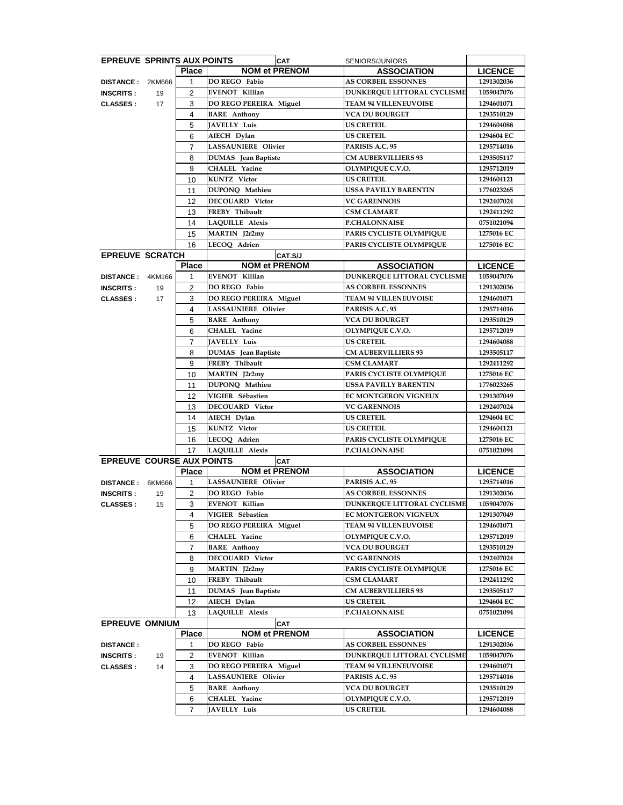| <b>EPREUVE SPRINTS AUX POINTS</b> |        |                     |                                           | <b>CAT</b>           | SENIORS/JUNIORS                                            |                          |
|-----------------------------------|--------|---------------------|-------------------------------------------|----------------------|------------------------------------------------------------|--------------------------|
|                                   |        | <b>Place</b>        |                                           | <b>NOM et PRENOM</b> | <b>ASSOCIATION</b>                                         | <b>LICENCE</b>           |
| DISTANCE: 2KM666                  |        | 1                   | <b>DO REGO Fabio</b>                      |                      | <b>AS CORBEIL ESSONNES</b>                                 | 1291302036               |
| <b>INSCRITS:</b>                  | 19     | 2                   | <b>EVENOT Killian</b>                     |                      | DUNKERQUE LITTORAL CYCLISME                                | 1059047076               |
| <b>CLASSES:</b>                   | 17     | 3                   | DO REGO PEREIRA Miguel                    |                      | <b>TEAM 94 VILLENEUVOISE</b>                               | 1294601071               |
|                                   |        | 4                   | <b>BARE</b> Anthony                       |                      | VCA DU BOURGET                                             | 1293510129               |
|                                   |        | 5                   | <b>JAVELLY Luis</b>                       |                      | US CRETEIL                                                 | 1294604088               |
|                                   |        | 6                   | AIECH Dylan                               |                      | <b>US CRETEIL</b>                                          | 1294604 EC               |
|                                   |        | $\overline{7}$      | <b>LASSAUNIERE Olivier</b>                |                      | PARISIS A.C. 95                                            | 1295714016               |
|                                   |        | 8                   | <b>DUMAS</b> Jean Baptiste                |                      | <b>CM AUBERVILLIERS 93</b>                                 | 1293505117               |
|                                   |        | 9                   | <b>CHALEL Yacine</b>                      |                      | OLYMPIQUE C.V.O.                                           | 1295712019               |
|                                   |        | 10                  | <b>KUNTZ</b> Victor                       |                      | <b>US CRETEIL</b>                                          | 1294604121               |
|                                   |        | 11                  | DUPONQ Mathieu                            |                      | USSA PAVILLY BARENTIN                                      | 1776023265               |
|                                   |        | 12                  | DECOUARD Victor                           |                      | <b>VC GARENNOIS</b>                                        | 1292407024               |
|                                   |        | 13                  | FREBY Thibault                            |                      | CSM CLAMART                                                | 1292411292               |
|                                   |        | 14                  | LAQUILLE Alexis                           |                      | <b>P.CHALONNAISE</b>                                       | 0751021094               |
|                                   |        | 15                  | MARTIN J2r2my                             |                      | PARIS CYCLISTE OLYMPIQUE                                   | 1275016 EC               |
|                                   |        | 16                  | LECOQ Adrien                              |                      | PARIS CYCLISTE OLYMPIQUE                                   | 1275016 EC               |
| <b>EPREUVE SCRATCH</b>            |        |                     |                                           | CAT.S/J              |                                                            |                          |
|                                   |        | <b>Place</b>        | <b>EVENOT Killian</b>                     | <b>NOM et PRENOM</b> | <b>ASSOCIATION</b>                                         | <b>LICENCE</b>           |
| <b>DISTANCE :</b>                 | 4KM166 | 1                   |                                           |                      | <b>DUNKERQUE LITTORAL CYCLISME</b>                         | 1059047076               |
| <b>INSCRITS:</b>                  | 19     | $\overline{c}$<br>3 | DO REGO Fabio<br>DO REGO PEREIRA Miguel   |                      | <b>AS CORBEIL ESSONNES</b><br><b>TEAM 94 VILLENEUVOISE</b> | 1291302036<br>1294601071 |
| <b>CLASSES:</b>                   | 17     | 4                   | LASSAUNIERE Olivier                       |                      | PARISIS A.C. 95                                            | 1295714016               |
|                                   |        | 5                   | <b>BARE</b> Anthony                       |                      | <b>VCA DU BOURGET</b>                                      | 1293510129               |
|                                   |        | 6                   | <b>CHALEL Yacine</b>                      |                      | OLYMPIQUE C.V.O.                                           | 1295712019               |
|                                   |        | 7                   | JAVELLY Luis                              |                      | <b>US CRETEIL</b>                                          | 1294604088               |
|                                   |        | 8                   | DUMAS Jean Baptiste                       |                      | <b>CM AUBERVILLIERS 93</b>                                 | 1293505117               |
|                                   |        | 9                   | FREBY Thibault                            |                      | <b>CSM CLAMART</b>                                         | 1292411292               |
|                                   |        | 10                  | MARTIN J2r2my                             |                      | PARIS CYCLISTE OLYMPIQUE                                   | 1275016 EC               |
|                                   |        | 11                  | DUPONQ Mathieu                            |                      | USSA PAVILLY BARENTIN                                      | 1776023265               |
|                                   |        | 12                  | VIGIER Sébastien                          |                      | EC MONTGERON VIGNEUX                                       | 1291307049               |
|                                   |        | 13                  | <b>DECOUARD Victor</b>                    |                      | <b>VC GARENNOIS</b>                                        | 1292407024               |
|                                   |        | 14                  | AIECH Dylan                               |                      | <b>US CRETEIL</b>                                          | 1294604 EC               |
|                                   |        | 15                  | KUNTZ Victor                              |                      | <b>US CRETEIL</b>                                          | 1294604121               |
|                                   |        | 16                  | LECOQ Adrien                              |                      | PARIS CYCLISTE OLYMPIQUE                                   | 1275016 EC               |
|                                   |        | 17                  | <b>LAQUILLE Alexis</b>                    |                      | <b>P.CHALONNAISE</b>                                       | 0751021094               |
| <b>EPREUVE COURSE AUX POINTS</b>  |        |                     |                                           | <b>CAT</b>           |                                                            |                          |
|                                   |        | <b>Place</b>        |                                           | <b>NOM et PRENOM</b> | <b>ASSOCIATION</b>                                         | <b>LICENCE</b>           |
| <b>DISTANCE:</b>                  | 6KM666 | 1                   | LASSAUNIERE Olivier                       |                      | PARISIS A.C. 95                                            | 1295714016               |
| <b>INSCRITS:</b>                  | 19     | $\overline{2}$      | DO REGO Fabio                             |                      | <b>AS CORBEIL ESSONNES</b>                                 | 1291302036               |
| <b>CLASSES:</b>                   | 15     | 3                   | <b>EVENOT Killian</b>                     |                      | DUNKERQUE LITTORAL CYCLISME                                | 1059047076               |
|                                   |        | 4                   | VIGIER Sébastien                          |                      | <b>EC MONTGERON VIGNEUX</b>                                | 1291307049               |
|                                   |        | 5                   | DO REGO PEREIRA Miguel                    |                      | <b>TEAM 94 VILLENEUVOISE</b>                               | 1294601071               |
|                                   |        | 6                   | CHALEL Yacine                             |                      | OLYMPIQUE C.V.O.                                           | 1295712019               |
|                                   |        | $\overline{7}$      | <b>BARE</b> Anthony                       |                      | <b>VCA DU BOURGET</b>                                      | 1293510129               |
|                                   |        | 8                   | <b>DECOUARD Victor</b>                    |                      | <b>VC GARENNOIS</b>                                        | 1292407024               |
|                                   |        | 9                   | MARTIN J2r2my                             |                      | PARIS CYCLISTE OLYMPIQUE                                   | 1275016 EC               |
|                                   |        | 10                  | FREBY Thibault                            |                      | <b>CSM CLAMART</b>                                         | 1292411292               |
|                                   |        | 11                  | <b>DUMAS</b> Jean Baptiste<br>AIECH Dylan |                      | <b>CM AUBERVILLIERS 93</b><br><b>US CRETEIL</b>            | 1293505117<br>1294604 EC |
|                                   |        | 12<br>13            | <b>LAQUILLE Alexis</b>                    |                      | <b>P.CHALONNAISE</b>                                       | 0751021094               |
| <b>EPREUVE OMNIUM</b>             |        |                     |                                           | <b>CAT</b>           |                                                            |                          |
|                                   |        | <b>Place</b>        |                                           | <b>NOM et PRENOM</b> | <b>ASSOCIATION</b>                                         | <b>LICENCE</b>           |
| <b>DISTANCE:</b>                  |        | 1                   | DO REGO Fabio                             |                      | <b>AS CORBEIL ESSONNES</b>                                 | 1291302036               |
| <b>INSCRITS:</b>                  | 19     | 2                   | <b>EVENOT Killian</b>                     |                      | DUNKERQUE LITTORAL CYCLISME                                | 1059047076               |
| <b>CLASSES:</b>                   | 14     | 3                   | DO REGO PEREIRA Miguel                    |                      | <b>TEAM 94 VILLENEUVOISE</b>                               | 1294601071               |
|                                   |        | 4                   | LASSAUNIERE Olivier                       |                      | PARISIS A.C. 95                                            | 1295714016               |
|                                   |        | 5                   | <b>BARE</b> Anthony                       |                      | <b>VCA DU BOURGET</b>                                      | 1293510129               |
|                                   |        | 6                   | CHALEL Yacine                             |                      | OLYMPIQUE C.V.O.                                           | 1295712019               |
|                                   |        | 7                   | JAVELLY Luis                              |                      | <b>US CRETEIL</b>                                          | 1294604088               |
|                                   |        |                     |                                           |                      |                                                            |                          |